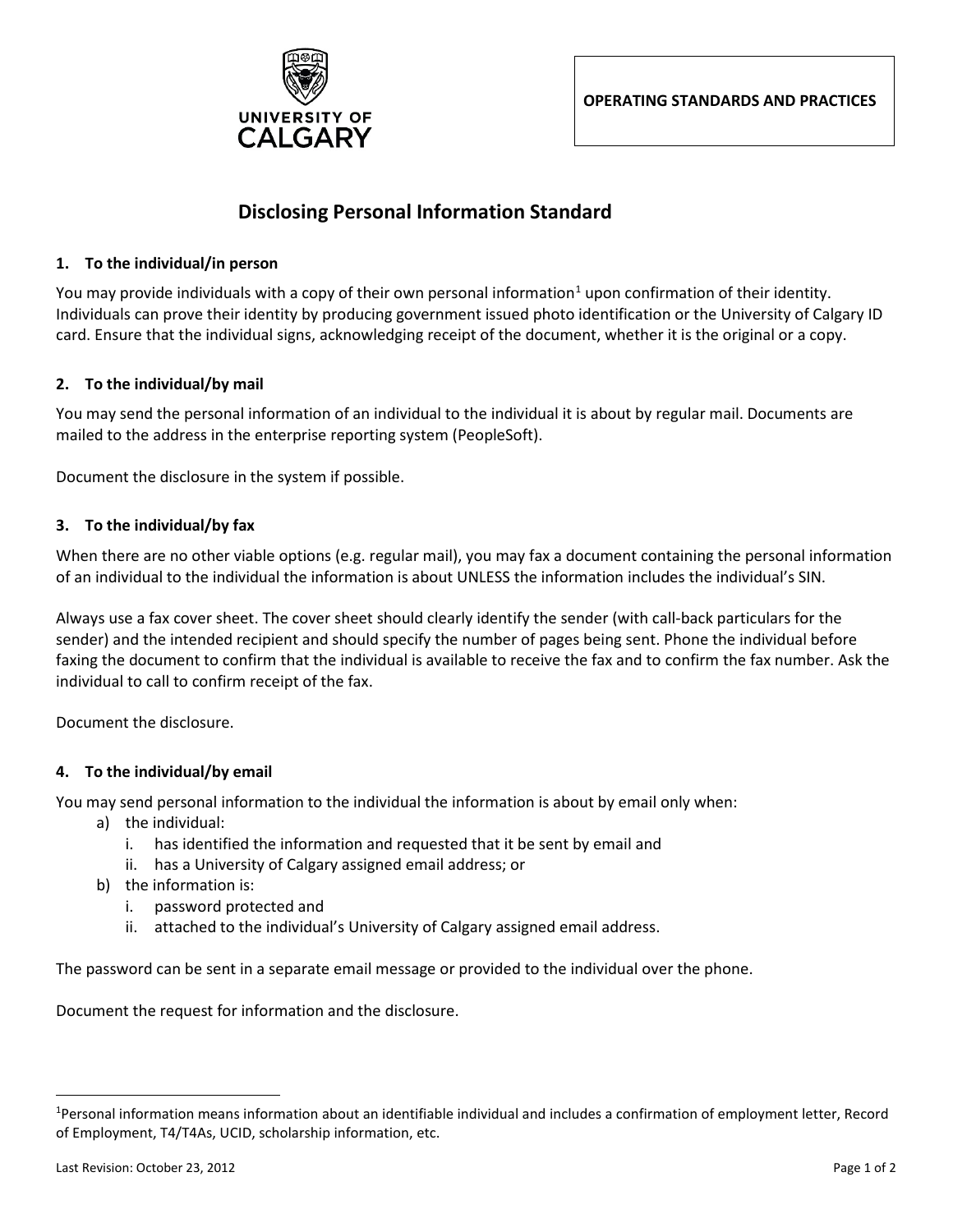

**OPERATING STANDARDS AND PRACTICES**

# **Disclosing Personal Information Standard**

#### **1. To the individual/in person**

You may provide individuals with a copy of their own personal information<sup>[1](#page-0-0)</sup> upon confirmation of their identity. Individuals can prove their identity by producing government issued photo identification or the University of Calgary ID card. Ensure that the individual signs, acknowledging receipt of the document, whether it is the original or a copy.

#### **2. To the individual/by mail**

You may send the personal information of an individual to the individual it is about by regular mail. Documents are mailed to the address in the enterprise reporting system (PeopleSoft).

Document the disclosure in the system if possible.

#### **3. To the individual/by fax**

When there are no other viable options (e.g. regular mail), you may fax a document containing the personal information of an individual to the individual the information is about UNLESS the information includes the individual's SIN.

Always use a fax cover sheet. The cover sheet should clearly identify the sender (with call-back particulars for the sender) and the intended recipient and should specify the number of pages being sent. Phone the individual before faxing the document to confirm that the individual is available to receive the fax and to confirm the fax number. Ask the individual to call to confirm receipt of the fax.

Document the disclosure.

## **4. To the individual/by email**

You may send personal information to the individual the information is about by email only when:

- a) the individual:
	- i. has identified the information and requested that it be sent by email and
	- ii. has a University of Calgary assigned email address; or
- b) the information is:
	- i. password protected and
	- ii. attached to the individual's University of Calgary assigned email address.

The password can be sent in a separate email message or provided to the individual over the phone.

Document the request for information and the disclosure.

<span id="page-0-0"></span> $\frac{1}{1}$ <sup>1</sup>Personal information means information about an identifiable individual and includes a confirmation of employment letter, Record of Employment, T4/T4As, UCID, scholarship information, etc.